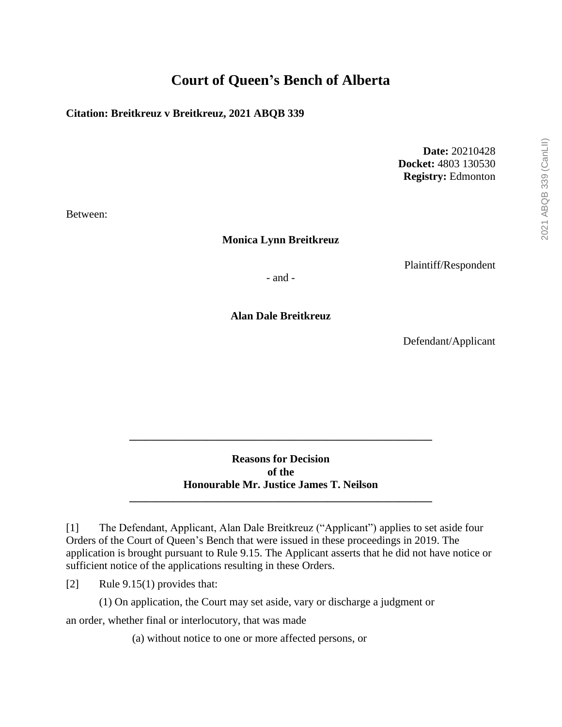# **Court of Queen's Bench of Alberta**

#### **Citation: Breitkreuz v Breitkreuz, 2021 ABQB 339**

**Date:** 20210428 **Docket:** 4803 130530 **Registry:** Edmonton

Between:

**Monica Lynn Breitkreuz**

Plaintiff/Respondent

- and -

**Alan Dale Breitkreuz**

Defendant/Applicant

**Reasons for Decision of the Honourable Mr. Justice James T. Neilson**

**\_\_\_\_\_\_\_\_\_\_\_\_\_\_\_\_\_\_\_\_\_\_\_\_\_\_\_\_\_\_\_\_\_\_\_\_\_\_\_\_\_\_\_\_\_\_\_\_\_\_\_\_\_\_\_**

**\_\_\_\_\_\_\_\_\_\_\_\_\_\_\_\_\_\_\_\_\_\_\_\_\_\_\_\_\_\_\_\_\_\_\_\_\_\_\_\_\_\_\_\_\_\_\_\_\_\_\_\_\_\_\_**

[1] The Defendant, Applicant, Alan Dale Breitkreuz ("Applicant") applies to set aside four Orders of the Court of Queen's Bench that were issued in these proceedings in 2019. The application is brought pursuant to Rule 9.15. The Applicant asserts that he did not have notice or sufficient notice of the applications resulting in these Orders.

[2] Rule 9.15(1) provides that:

(1) On application, the Court may set aside, vary or discharge a judgment or

an order, whether final or interlocutory, that was made

(a) without notice to one or more affected persons, or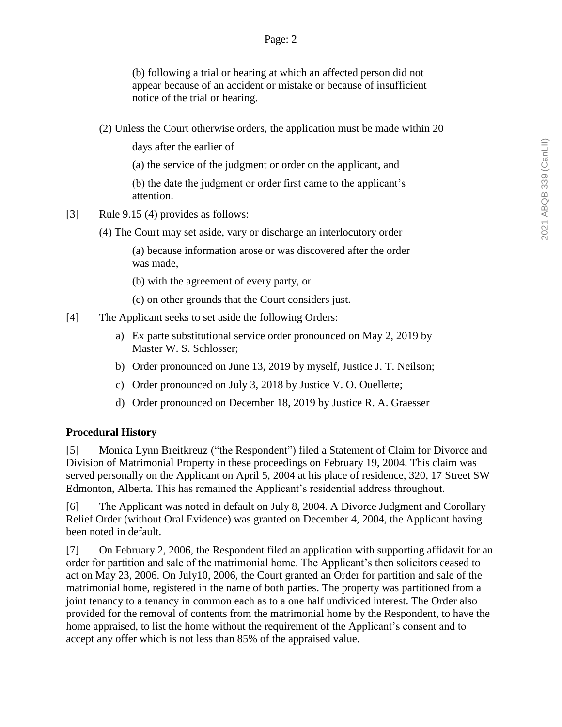(b) following a trial or hearing at which an affected person did not appear because of an accident or mistake or because of insufficient notice of the trial or hearing.

(2) Unless the Court otherwise orders, the application must be made within 20

days after the earlier of

(a) the service of the judgment or order on the applicant, and

(b) the date the judgment or order first came to the applicant's attention.

- [3] Rule 9.15 (4) provides as follows:
	- (4) The Court may set aside, vary or discharge an interlocutory order

(a) because information arose or was discovered after the order was made,

(b) with the agreement of every party, or

(c) on other grounds that the Court considers just.

- [4] The Applicant seeks to set aside the following Orders:
	- a) Ex parte substitutional service order pronounced on May 2, 2019 by Master W. S. Schlosser;
	- b) Order pronounced on June 13, 2019 by myself, Justice J. T. Neilson;
	- c) Order pronounced on July 3, 2018 by Justice V. O. Ouellette;
	- d) Order pronounced on December 18, 2019 by Justice R. A. Graesser

### **Procedural History**

[5] Monica Lynn Breitkreuz ("the Respondent") filed a Statement of Claim for Divorce and Division of Matrimonial Property in these proceedings on February 19, 2004. This claim was served personally on the Applicant on April 5, 2004 at his place of residence, 320, 17 Street SW Edmonton, Alberta. This has remained the Applicant's residential address throughout.

[6] The Applicant was noted in default on July 8, 2004. A Divorce Judgment and Corollary Relief Order (without Oral Evidence) was granted on December 4, 2004, the Applicant having been noted in default.

[7] On February 2, 2006, the Respondent filed an application with supporting affidavit for an order for partition and sale of the matrimonial home. The Applicant's then solicitors ceased to act on May 23, 2006. On July10, 2006, the Court granted an Order for partition and sale of the matrimonial home, registered in the name of both parties. The property was partitioned from a joint tenancy to a tenancy in common each as to a one half undivided interest. The Order also provided for the removal of contents from the matrimonial home by the Respondent, to have the home appraised, to list the home without the requirement of the Applicant's consent and to accept any offer which is not less than 85% of the appraised value.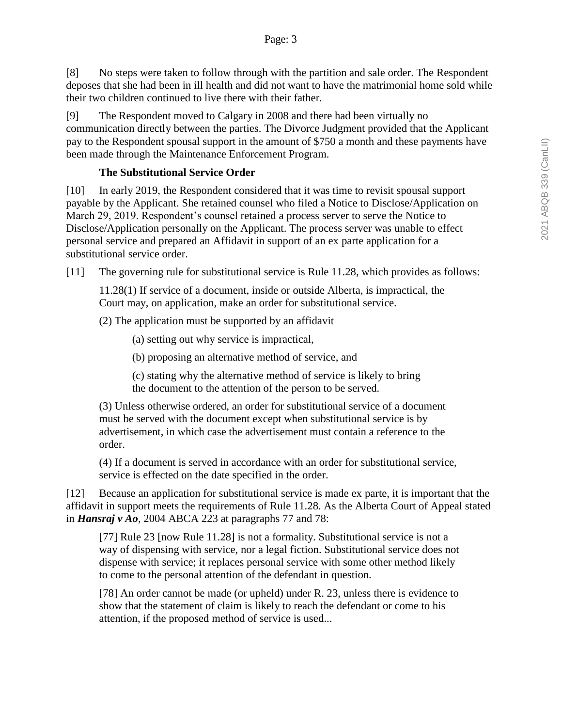[8] No steps were taken to follow through with the partition and sale order. The Respondent deposes that she had been in ill health and did not want to have the matrimonial home sold while their two children continued to live there with their father.

[9] The Respondent moved to Calgary in 2008 and there had been virtually no communication directly between the parties. The Divorce Judgment provided that the Applicant pay to the Respondent spousal support in the amount of \$750 a month and these payments have been made through the Maintenance Enforcement Program.

### **The Substitutional Service Order**

[10] In early 2019, the Respondent considered that it was time to revisit spousal support payable by the Applicant. She retained counsel who filed a Notice to Disclose/Application on March 29, 2019. Respondent's counsel retained a process server to serve the Notice to Disclose/Application personally on the Applicant. The process server was unable to effect personal service and prepared an Affidavit in support of an ex parte application for a substitutional service order.

[11] The governing rule for substitutional service is Rule 11.28, which provides as follows:

11.28(1) If service of a document, inside or outside Alberta, is impractical, the Court may, on application, make an order for substitutional service.

(2) The application must be supported by an affidavit

(a) setting out why service is impractical,

(b) proposing an alternative method of service, and

(c) stating why the alternative method of service is likely to bring the document to the attention of the person to be served.

(3) Unless otherwise ordered, an order for substitutional service of a document must be served with the document except when substitutional service is by advertisement, in which case the advertisement must contain a reference to the order.

(4) If a document is served in accordance with an order for substitutional service, service is effected on the date specified in the order.

[12] Because an application for substitutional service is made ex parte, it is important that the affidavit in support meets the requirements of Rule 11.28. As the Alberta Court of Appeal stated in *Hansraj v Ao*, 2004 ABCA 223 at paragraphs 77 and 78:

[77] Rule 23 [now Rule 11.28] is not a formality. Substitutional service is not a way of dispensing with service, nor a legal fiction. Substitutional service does not dispense with service; it replaces personal service with some other method likely to come to the personal attention of the defendant in question.

[78] An order cannot be made (or upheld) under R. 23, unless there is evidence to show that the statement of claim is likely to reach the defendant or come to his attention, if the proposed method of service is used...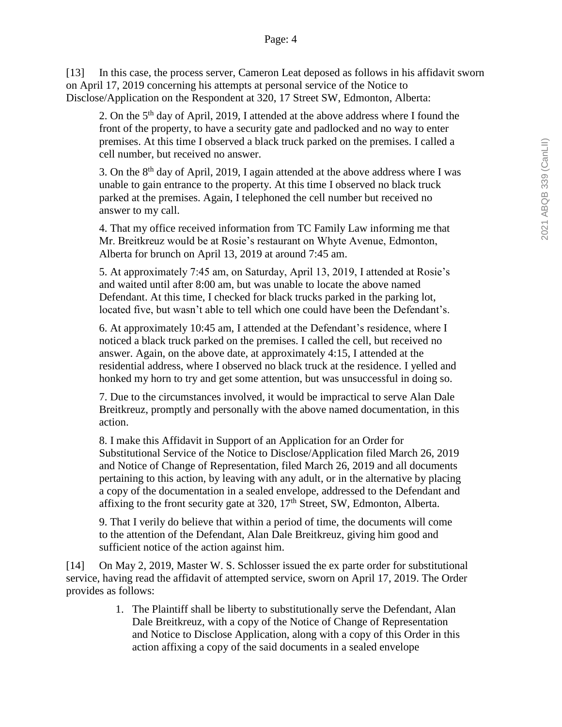[13] In this case, the process server, Cameron Leat deposed as follows in his affidavit sworn on April 17, 2019 concerning his attempts at personal service of the Notice to Disclose/Application on the Respondent at 320, 17 Street SW, Edmonton, Alberta:

2. On the  $5<sup>th</sup>$  day of April, 2019, I attended at the above address where I found the front of the property, to have a security gate and padlocked and no way to enter premises. At this time I observed a black truck parked on the premises. I called a cell number, but received no answer.

3. On the 8th day of April, 2019, I again attended at the above address where I was unable to gain entrance to the property. At this time I observed no black truck parked at the premises. Again, I telephoned the cell number but received no answer to my call.

4. That my office received information from TC Family Law informing me that Mr. Breitkreuz would be at Rosie's restaurant on Whyte Avenue, Edmonton, Alberta for brunch on April 13, 2019 at around 7:45 am.

5. At approximately 7:45 am, on Saturday, April 13, 2019, I attended at Rosie's and waited until after 8:00 am, but was unable to locate the above named Defendant. At this time, I checked for black trucks parked in the parking lot, located five, but wasn't able to tell which one could have been the Defendant's.

6. At approximately 10:45 am, I attended at the Defendant's residence, where I noticed a black truck parked on the premises. I called the cell, but received no answer. Again, on the above date, at approximately 4:15, I attended at the residential address, where I observed no black truck at the residence. I yelled and honked my horn to try and get some attention, but was unsuccessful in doing so.

7. Due to the circumstances involved, it would be impractical to serve Alan Dale Breitkreuz, promptly and personally with the above named documentation, in this action.

8. I make this Affidavit in Support of an Application for an Order for Substitutional Service of the Notice to Disclose/Application filed March 26, 2019 and Notice of Change of Representation, filed March 26, 2019 and all documents pertaining to this action, by leaving with any adult, or in the alternative by placing a copy of the documentation in a sealed envelope, addressed to the Defendant and affixing to the front security gate at  $320$ ,  $17<sup>th</sup>$  Street, SW, Edmonton, Alberta.

9. That I verily do believe that within a period of time, the documents will come to the attention of the Defendant, Alan Dale Breitkreuz, giving him good and sufficient notice of the action against him.

[14] On May 2, 2019, Master W. S. Schlosser issued the ex parte order for substitutional service, having read the affidavit of attempted service, sworn on April 17, 2019. The Order provides as follows:

> 1. The Plaintiff shall be liberty to substitutionally serve the Defendant, Alan Dale Breitkreuz, with a copy of the Notice of Change of Representation and Notice to Disclose Application, along with a copy of this Order in this action affixing a copy of the said documents in a sealed envelope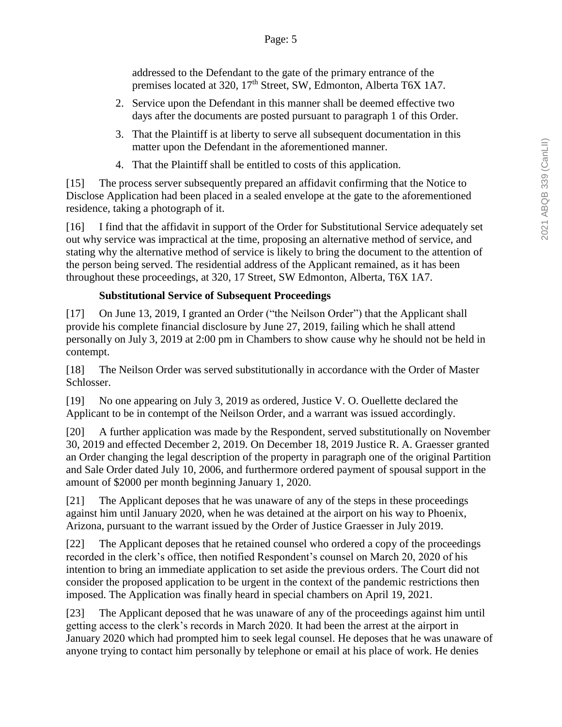addressed to the Defendant to the gate of the primary entrance of the premises located at 320, 17<sup>th</sup> Street, SW, Edmonton, Alberta T6X 1A7.

- 2. Service upon the Defendant in this manner shall be deemed effective two days after the documents are posted pursuant to paragraph 1 of this Order.
- 3. That the Plaintiff is at liberty to serve all subsequent documentation in this matter upon the Defendant in the aforementioned manner.
- 4. That the Plaintiff shall be entitled to costs of this application.

[15] The process server subsequently prepared an affidavit confirming that the Notice to Disclose Application had been placed in a sealed envelope at the gate to the aforementioned residence, taking a photograph of it.

[16] I find that the affidavit in support of the Order for Substitutional Service adequately set out why service was impractical at the time, proposing an alternative method of service, and stating why the alternative method of service is likely to bring the document to the attention of the person being served. The residential address of the Applicant remained, as it has been throughout these proceedings, at 320, 17 Street, SW Edmonton, Alberta, T6X 1A7.

## **Substitutional Service of Subsequent Proceedings**

[17] On June 13, 2019, I granted an Order ("the Neilson Order") that the Applicant shall provide his complete financial disclosure by June 27, 2019, failing which he shall attend personally on July 3, 2019 at 2:00 pm in Chambers to show cause why he should not be held in contempt.

[18] The Neilson Order was served substitutionally in accordance with the Order of Master Schlosser.

[19] No one appearing on July 3, 2019 as ordered, Justice V. O. Ouellette declared the Applicant to be in contempt of the Neilson Order, and a warrant was issued accordingly.

[20] A further application was made by the Respondent, served substitutionally on November 30, 2019 and effected December 2, 2019. On December 18, 2019 Justice R. A. Graesser granted an Order changing the legal description of the property in paragraph one of the original Partition and Sale Order dated July 10, 2006, and furthermore ordered payment of spousal support in the amount of \$2000 per month beginning January 1, 2020.

[21] The Applicant deposes that he was unaware of any of the steps in these proceedings against him until January 2020, when he was detained at the airport on his way to Phoenix, Arizona, pursuant to the warrant issued by the Order of Justice Graesser in July 2019.

[22] The Applicant deposes that he retained counsel who ordered a copy of the proceedings recorded in the clerk's office, then notified Respondent's counsel on March 20, 2020 of his intention to bring an immediate application to set aside the previous orders. The Court did not consider the proposed application to be urgent in the context of the pandemic restrictions then imposed. The Application was finally heard in special chambers on April 19, 2021.

[23] The Applicant deposed that he was unaware of any of the proceedings against him until getting access to the clerk's records in March 2020. It had been the arrest at the airport in January 2020 which had prompted him to seek legal counsel. He deposes that he was unaware of anyone trying to contact him personally by telephone or email at his place of work. He denies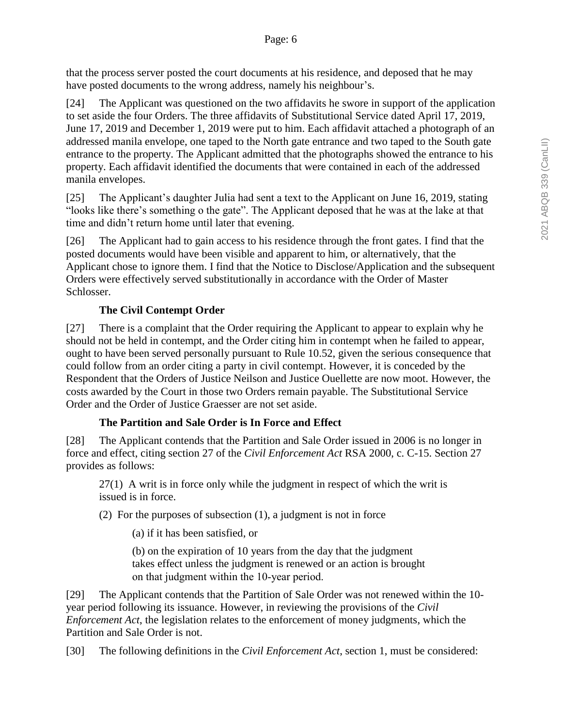that the process server posted the court documents at his residence, and deposed that he may have posted documents to the wrong address, namely his neighbour's.

[24] The Applicant was questioned on the two affidavits he swore in support of the application to set aside the four Orders. The three affidavits of Substitutional Service dated April 17, 2019, June 17, 2019 and December 1, 2019 were put to him. Each affidavit attached a photograph of an addressed manila envelope, one taped to the North gate entrance and two taped to the South gate entrance to the property. The Applicant admitted that the photographs showed the entrance to his property. Each affidavit identified the documents that were contained in each of the addressed manila envelopes.

[25] The Applicant's daughter Julia had sent a text to the Applicant on June 16, 2019, stating "looks like there's something o the gate". The Applicant deposed that he was at the lake at that time and didn't return home until later that evening.

[26] The Applicant had to gain access to his residence through the front gates. I find that the posted documents would have been visible and apparent to him, or alternatively, that the Applicant chose to ignore them. I find that the Notice to Disclose/Application and the subsequent Orders were effectively served substitutionally in accordance with the Order of Master Schlosser.

# **The Civil Contempt Order**

[27] There is a complaint that the Order requiring the Applicant to appear to explain why he should not be held in contempt, and the Order citing him in contempt when he failed to appear, ought to have been served personally pursuant to Rule 10.52, given the serious consequence that could follow from an order citing a party in civil contempt. However, it is conceded by the Respondent that the Orders of Justice Neilson and Justice Ouellette are now moot. However, the costs awarded by the Court in those two Orders remain payable. The Substitutional Service Order and the Order of Justice Graesser are not set aside.

# **The Partition and Sale Order is In Force and Effect**

[28] The Applicant contends that the Partition and Sale Order issued in 2006 is no longer in force and effect, citing section 27 of the *Civil Enforcement Act* RSA 2000, c. C-15. Section 27 provides as follows:

27(1) A writ is in force only while the judgment in respect of which the writ is issued is in force.

(2) For the purposes of subsection (1), a judgment is not in force

(a) if it has been satisfied, or

(b) on the expiration of 10 years from the day that the judgment takes effect unless the judgment is renewed or an action is brought on that judgment within the 10‑year period.

[29] The Applicant contends that the Partition of Sale Order was not renewed within the 10 year period following its issuance. However, in reviewing the provisions of the *Civil Enforcement Act*, the legislation relates to the enforcement of money judgments, which the Partition and Sale Order is not.

[30] The following definitions in the *Civil Enforcement Act*, section 1, must be considered: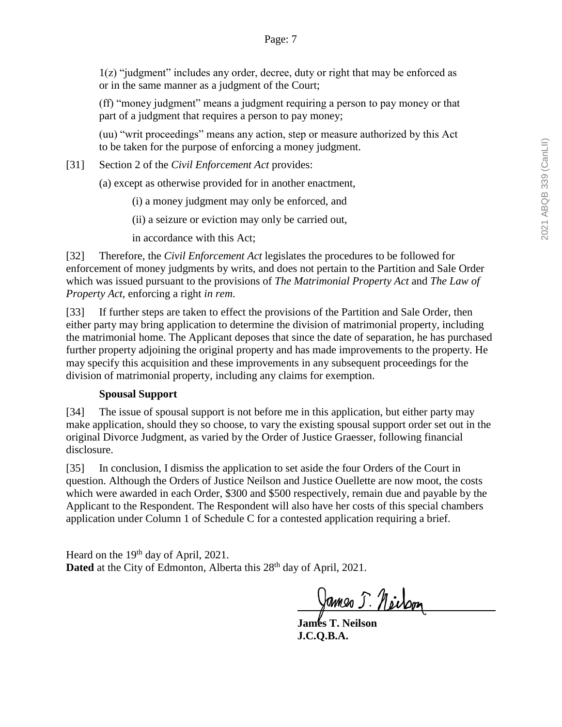1(z) "judgment" includes any order, decree, duty or right that may be enforced as or in the same manner as a judgment of the Court;

(ff) "money judgment" means a judgment requiring a person to pay money or that part of a judgment that requires a person to pay money;

(uu) "writ proceedings" means any action, step or measure authorized by this Act to be taken for the purpose of enforcing a money judgment.

[31] Section 2 of the *Civil Enforcement Act* provides:

(a) except as otherwise provided for in another enactment,

(i) a money judgment may only be enforced, and

(ii) a seizure or eviction may only be carried out,

in accordance with this Act;

[32] Therefore, the *Civil Enforcement Act* legislates the procedures to be followed for enforcement of money judgments by writs, and does not pertain to the Partition and Sale Order which was issued pursuant to the provisions of *The Matrimonial Property Act* and *The Law of Property Act*, enforcing a right *in rem*.

[33] If further steps are taken to effect the provisions of the Partition and Sale Order, then either party may bring application to determine the division of matrimonial property, including the matrimonial home. The Applicant deposes that since the date of separation, he has purchased further property adjoining the original property and has made improvements to the property. He may specify this acquisition and these improvements in any subsequent proceedings for the division of matrimonial property, including any claims for exemption.

#### **Spousal Support**

[34] The issue of spousal support is not before me in this application, but either party may make application, should they so choose, to vary the existing spousal support order set out in the original Divorce Judgment, as varied by the Order of Justice Graesser, following financial disclosure.

[35] In conclusion, I dismiss the application to set aside the four Orders of the Court in question. Although the Orders of Justice Neilson and Justice Ouellette are now moot, the costs which were awarded in each Order, \$300 and \$500 respectively, remain due and payable by the Applicant to the Respondent. The Respondent will also have her costs of this special chambers application under Column 1 of Schedule C for a contested application requiring a brief.

Heard on the 19<sup>th</sup> day of April, 2021. Dated at the City of Edmonton, Alberta this 28<sup>th</sup> day of April, 2021.

James 5. Neilson

**James T. Neilson J.C.Q.B.A.**